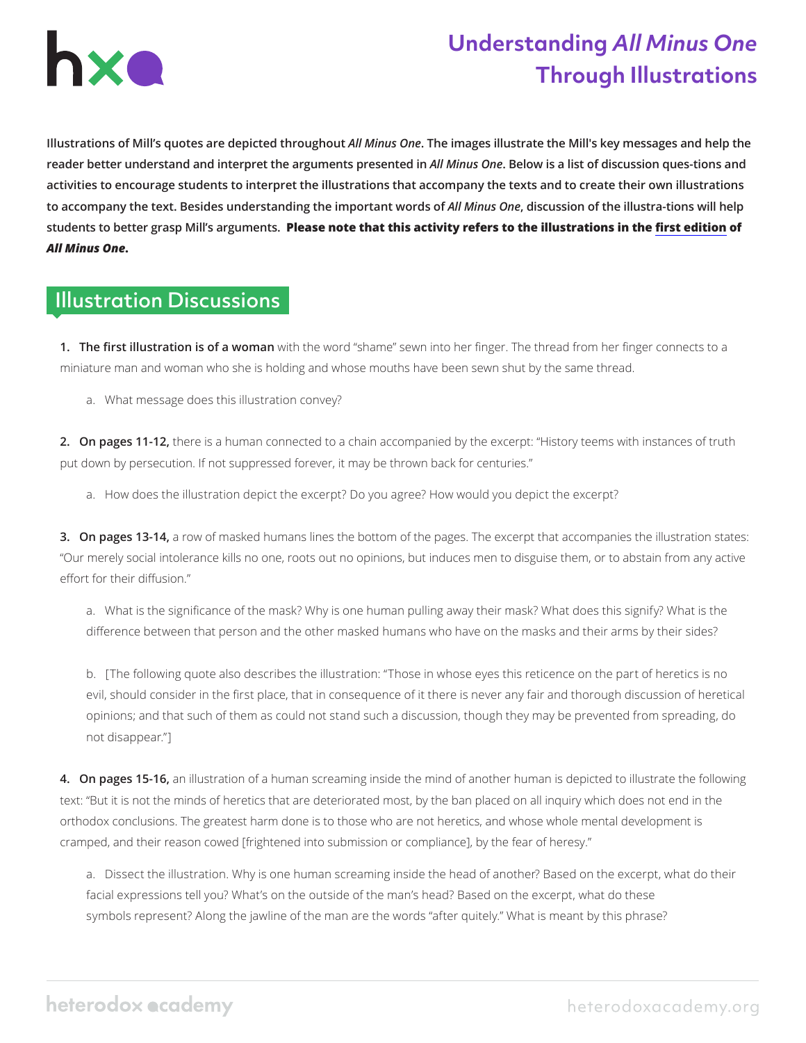

## **Understanding** *All Minus One* **Through Illustrations**

**Illustrations of Mill's quotes are depicted throughout** *All Minus One***. The images illustrate the Mill's key messages and help the reader better understand and interpret the arguments presented in** *All Minus One***. Below is a list of discussion ques-tions and activities to encourage students to interpret the illustrations that accompany the texts and to create their own illustrations to accompany the text. Besides understanding the important words of** *All Minus One***, discussion of the illustra-tions will help students to better grasp Mill's arguments. Please note that this activity refers to the illustrations in the [first edition](https://heterodoxacademy.org/wp-content/uploads/2020/11/AllMinusOne_PDF.pdf) of**  *All Minus One***.** 

## Illustration Discussions

**1. The first illustration is of a woman** with the word "shame" sewn into her finger. The thread from her finger connects to a miniature man and woman who she is holding and whose mouths have been sewn shut by the same thread.

a. What message does this illustration convey?

**2. On pages 11-12,** there is a human connected to a chain accompanied by the excerpt: "History teems with instances of truth put down by persecution. If not suppressed forever, it may be thrown back for centuries."

a. How does the illustration depict the excerpt? Do you agree? How would you depict the excerpt?

**3. On pages 13-14,** a row of masked humans lines the bottom of the pages. The excerpt that accompanies the illustration states: "Our merely social intolerance kills no one, roots out no opinions, but induces men to disguise them, or to abstain from any active effort for their diffusion."

a. What is the significance of the mask? Why is one human pulling away their mask? What does this signify? What is the difference between that person and the other masked humans who have on the masks and their arms by their sides?

b. [The following quote also describes the illustration: "Those in whose eyes this reticence on the part of heretics is no evil, should consider in the first place, that in consequence of it there is never any fair and thorough discussion of heretical opinions; and that such of them as could not stand such a discussion, though they may be prevented from spreading, do not disappear."]

**4. On pages 15-16,** an illustration of a human screaming inside the mind of another human is depicted to illustrate the following text: "But it is not the minds of heretics that are deteriorated most, by the ban placed on all inquiry which does not end in the orthodox conclusions. The greatest harm done is to those who are not heretics, and whose whole mental development is cramped, and their reason cowed [frightened into submission or compliance], by the fear of heresy."

a. Dissect the illustration. Why is one human screaming inside the head of another? Based on the excerpt, what do their facial expressions tell you? What's on the outside of the man's head? Based on the excerpt, what do these symbols represent? Along the jawline of the man are the words "after quitely." What is meant by this phrase?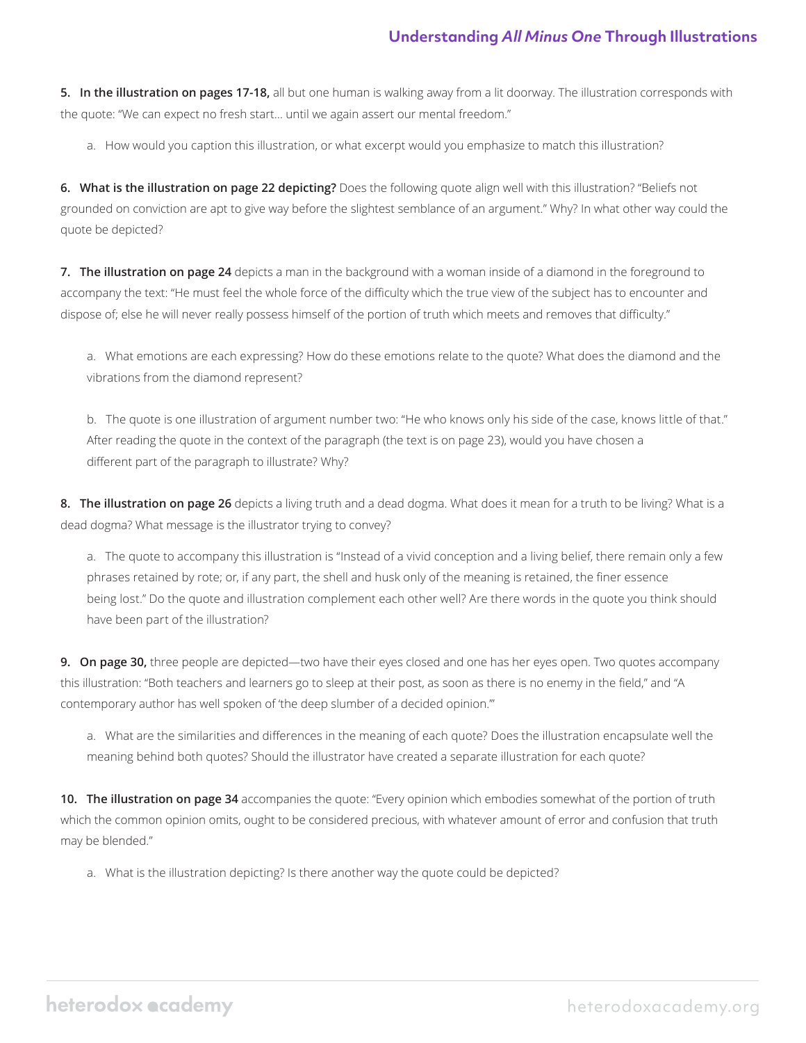**5. In the illustration on pages 17-18,** all but one human is walking away from a lit doorway. The illustration corresponds with the quote: "We can expect no fresh start… until we again assert our mental freedom."

a. How would you caption this illustration, or what excerpt would you emphasize to match this illustration?

**6. What is the illustration on page 22 depicting?** Does the following quote align well with this illustration? "Beliefs not grounded on conviction are apt to give way before the slightest semblance of an argument." Why? In what other way could the quote be depicted?

**7. The illustration on page 24** depicts a man in the background with a woman inside of a diamond in the foreground to accompany the text: "He must feel the whole force of the difficulty which the true view of the subject has to encounter and dispose of; else he will never really possess himself of the portion of truth which meets and removes that difficulty."

a. What emotions are each expressing? How do these emotions relate to the quote? What does the diamond and the vibrations from the diamond represent?

b. The quote is one illustration of argument number two: "He who knows only his side of the case, knows little of that." After reading the quote in the context of the paragraph (the text is on page 23), would you have chosen a different part of the paragraph to illustrate? Why?

**8. The illustration on page 26** depicts a living truth and a dead dogma. What does it mean for a truth to be living? What is a dead dogma? What message is the illustrator trying to convey?

a. The quote to accompany this illustration is "Instead of a vivid conception and a living belief, there remain only a few phrases retained by rote; or, if any part, the shell and husk only of the meaning is retained, the finer essence being lost." Do the quote and illustration complement each other well? Are there words in the quote you think should have been part of the illustration?

**9. On page 30,** three people are depicted—two have their eyes closed and one has her eyes open. Two quotes accompany this illustration: "Both teachers and learners go to sleep at their post, as soon as there is no enemy in the field," and "A contemporary author has well spoken of 'the deep slumber of a decided opinion.'"

a. What are the similarities and differences in the meaning of each quote? Does the illustration encapsulate well the meaning behind both quotes? Should the illustrator have created a separate illustration for each quote?

**10. The illustration on page 34** accompanies the quote: "Every opinion which embodies somewhat of the portion of truth which the common opinion omits, ought to be considered precious, with whatever amount of error and confusion that truth may be blended."

a. What is the illustration depicting? Is there another way the quote could be depicted?